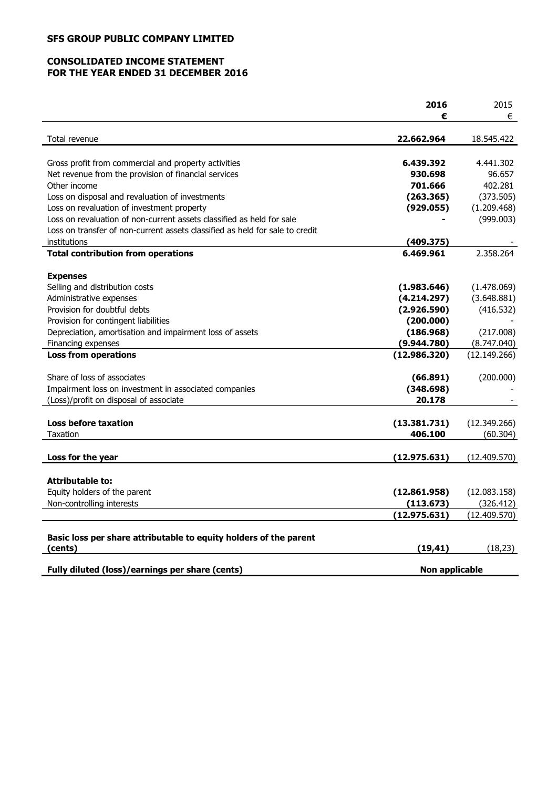## **SFS GROUP PUBLIC COMPANY LIMITED**

## **CONSOLIDATED INCOME STATEMENT FOR THE YEAR ENDED 31 DECEMBER 2016**

|                                                                              | 2016                  | 2015         |
|------------------------------------------------------------------------------|-----------------------|--------------|
|                                                                              | €                     | €            |
| Total revenue                                                                | 22.662.964            | 18.545.422   |
|                                                                              |                       |              |
| Gross profit from commercial and property activities                         | 6.439.392             | 4.441.302    |
| Net revenue from the provision of financial services                         | 930.698               | 96.657       |
| Other income                                                                 | 701.666               | 402.281      |
| Loss on disposal and revaluation of investments                              | (263.365)             | (373.505)    |
| Loss on revaluation of investment property                                   | (929.055)             | (1.209.468)  |
| Loss on revaluation of non-current assets classified as held for sale        |                       | (999.003)    |
| Loss on transfer of non-current assets classified as held for sale to credit |                       |              |
| institutions                                                                 | (409.375)             |              |
| <b>Total contribution from operations</b>                                    | 6.469.961             | 2.358.264    |
| <b>Expenses</b>                                                              |                       |              |
| Selling and distribution costs                                               | (1.983.646)           | (1.478.069)  |
| Administrative expenses                                                      | (4.214.297)           | (3.648.881)  |
| Provision for doubtful debts                                                 | (2.926.590)           | (416.532)    |
| Provision for contingent liabilities                                         | (200.000)             |              |
| Depreciation, amortisation and impairment loss of assets                     | (186.968)             | (217.008)    |
| Financing expenses                                                           | (9.944.780)           | (8.747.040)  |
| <b>Loss from operations</b>                                                  | (12.986.320)          | (12.149.266) |
| Share of loss of associates                                                  | (66.891)              | (200.000)    |
| Impairment loss on investment in associated companies                        | (348.698)             |              |
| (Loss)/profit on disposal of associate                                       | 20.178                |              |
|                                                                              |                       |              |
| <b>Loss before taxation</b>                                                  | (13.381.731)          | (12.349.266) |
| Taxation                                                                     | 406.100               | (60.304)     |
| Loss for the year                                                            | (12.975.631)          | (12.409.570) |
|                                                                              |                       |              |
| <b>Attributable to:</b>                                                      |                       |              |
| Equity holders of the parent                                                 | (12.861.958)          | (12.083.158) |
| Non-controlling interests                                                    | (113.673)             | (326.412)    |
|                                                                              | (12.975.631)          | (12.409.570) |
| Basic loss per share attributable to equity holders of the parent            |                       |              |
| (cents)                                                                      | (19, 41)              | (18, 23)     |
|                                                                              |                       |              |
| Fully diluted (loss)/earnings per share (cents)                              | <b>Non applicable</b> |              |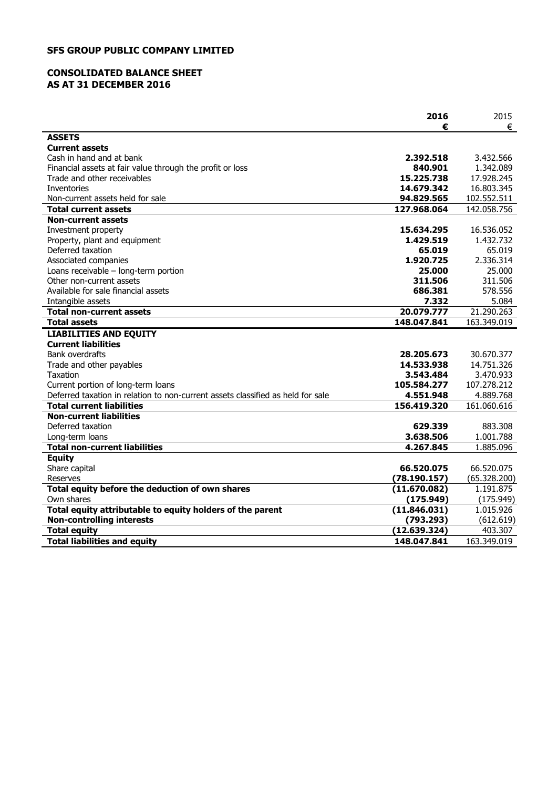## **SFS GROUP PUBLIC COMPANY LIMITED**

## **CONSOLIDATED BALANCE SHEET AS AT 31 DECEMBER 2016**

|                                                                                 | 2016                      | 2015                       |
|---------------------------------------------------------------------------------|---------------------------|----------------------------|
|                                                                                 | €                         | €                          |
| <b>ASSETS</b>                                                                   |                           |                            |
| <b>Current assets</b>                                                           |                           |                            |
| Cash in hand and at bank                                                        | 2.392.518                 | 3.432.566                  |
| Financial assets at fair value through the profit or loss                       | 840.901                   | 1.342.089                  |
| Trade and other receivables                                                     | 15.225.738                | 17.928.245                 |
| <b>Inventories</b>                                                              | 14.679.342                | 16.803.345                 |
| Non-current assets held for sale<br><b>Total current assets</b>                 | 94.829.565<br>127.968.064 | 102.552.511<br>142.058.756 |
| <b>Non-current assets</b>                                                       |                           |                            |
| Investment property                                                             | 15.634.295                | 16.536.052                 |
| Property, plant and equipment                                                   | 1.429.519                 | 1.432.732                  |
| Deferred taxation                                                               | 65.019                    | 65.019                     |
| Associated companies                                                            | 1.920.725                 | 2.336.314                  |
| Loans receivable - long-term portion                                            | 25.000                    | 25.000                     |
| Other non-current assets                                                        | 311.506                   | 311.506                    |
| Available for sale financial assets                                             | 686.381                   | 578.556                    |
| Intangible assets                                                               | 7.332                     | 5.084                      |
| Total non-current assets                                                        | 20.079.777                | 21.290.263                 |
| <b>Total assets</b>                                                             | 148.047.841               | 163.349.019                |
| <b>LIABILITIES AND EQUITY</b>                                                   |                           |                            |
| <b>Current liabilities</b>                                                      |                           |                            |
| <b>Bank overdrafts</b>                                                          | 28.205.673                | 30.670.377                 |
| Trade and other payables                                                        | 14.533.938                | 14.751.326                 |
| <b>Taxation</b>                                                                 | 3.543.484                 | 3.470.933                  |
| Current portion of long-term loans                                              | 105.584.277               | 107.278.212                |
| Deferred taxation in relation to non-current assets classified as held for sale | 4.551.948                 | 4.889.768                  |
| <b>Total current liabilities</b>                                                | 156.419.320               | 161.060.616                |
| <b>Non-current liabilities</b>                                                  |                           |                            |
| Deferred taxation                                                               | 629.339                   | 883,308                    |
| Long-term loans                                                                 | 3.638.506                 | 1.001.788                  |
| <b>Total non-current liabilities</b>                                            | 4.267.845                 | 1.885.096                  |
| <b>Equity</b>                                                                   |                           |                            |
| Share capital                                                                   | 66.520.075                | 66.520.075                 |
| Reserves                                                                        | (78.190.157)              | (65.328.200)               |
| Total equity before the deduction of own shares                                 | (11.670.082)              | 1.191.875                  |
| Own shares<br>Total equity attributable to equity holders of the parent         | (175.949)<br>(11.846.031) | (175.949)<br>1.015.926     |
| <b>Non-controlling interests</b>                                                | (793.293)                 | (612.619)                  |
| <b>Total equity</b>                                                             | (12.639.324)              | 403.307                    |
| <b>Total liabilities and equity</b>                                             | 148.047.841               | 163.349.019                |
|                                                                                 |                           |                            |